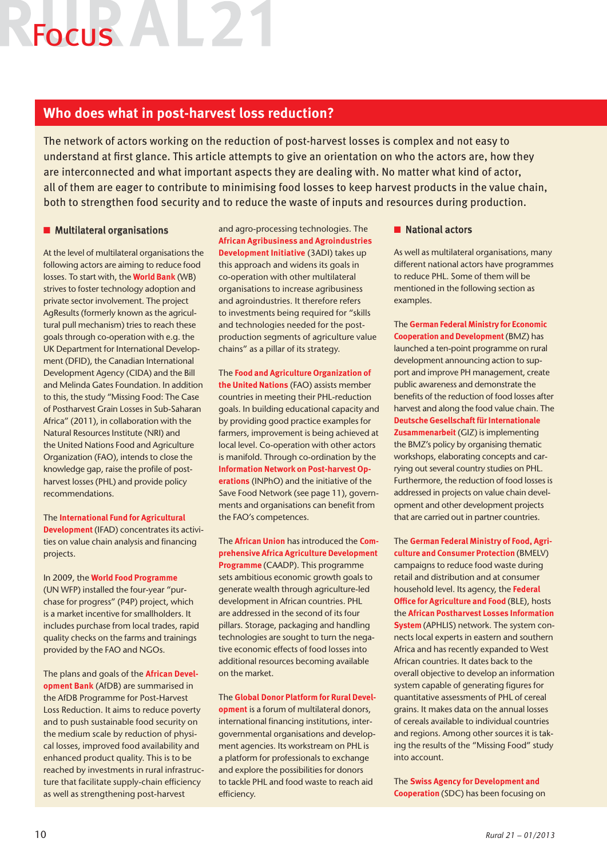## Focus ALL

## **Who does what in post-harvest loss reduction?**

The network of actors working on the reduction of post-harvest losses is complex and not easy to understand at first glance. This article attempts to give an orientation on who the actors are, how they are interconnected and what important aspects they are dealing with. No matter what kind of actor, all of them are eager to contribute to minimising food losses to keep harvest products in the value chain, both to strengthen food security and to reduce the waste of inputs and resources during production.

## $\blacksquare$  Multilateral organisations

At the level of multilateral organisations the following actors are aiming to reduce food losses. To start with, the **World Bank** (WB) strives to foster technology adoption and private sector involvement. The project AgResults (formerly known as the agricultural pull mechanism) tries to reach these goals through co-operation with e.g. the UK Department for International Development (DFID), the Canadian International Development Agency (CIDA) and the Bill and Melinda Gates Foundation. In addition to this, the study "Missing Food: The Case of Postharvest Grain Losses in Sub-Saharan Africa" (2011), in collaboration with the Natural Resources Institute (NRI) and the United Nations Food and Agriculture Organization (FAO), intends to close the knowledge gap, raise the profile of postharvest losses (PHL) and provide policy recommendations.

The **International Fund for Agricultural Development** (IFAD) concentrates its activities on value chain analysis and financing projects.

In 2009, the **World Food Programme**  (UN WFP) installed the four-year "purchase for progress" (P4P) project, which is a market incentive for smallholders. It includes purchase from local trades, rapid quality checks on the farms and trainings provided by the FAO and NGOs.

The plans and goals of the **African Development Bank** (AfDB) are summarised in the AfDB Programme for Post-Harvest Loss Reduction. It aims to reduce poverty and to push sustainable food security on the medium scale by reduction of physical losses, improved food availability and enhanced product quality. This is to be reached by investments in rural infrastructure that facilitate supply-chain efficiency as well as strengthening post-harvest

and agro-processing technologies. The **African Agribusiness and Agroindustries Development Initiative** (3ADI) takes up this approach and widens its goals in co-operation with other multilateral organisations to increase agribusiness and agroindustries. It therefore refers to investments being required for "skills and technologies needed for the postproduction segments of agriculture value chains" as a pillar of its strategy.

The **Food and Agriculture Organization of the United Nations** (FAO) assists member countries in meeting their PHL-reduction goals. In building educational capacity and by providing good practice examples for farmers, improvement is being achieved at local level. Co-operation with other actors is manifold. Through co-ordination by the **Information Network on Post-harvest Operations** (INPhO) and the initiative of the Save Food Network (see page 11), governments and organisations can benefit from the FAO's competences.

The **African Union** has introduced the **Comprehensive Africa Agriculture Development Programme** (CAADP). This programme sets ambitious economic growth goals to generate wealth through agriculture-led development in African countries. PHL are addressed in the second of its four pillars. Storage, packaging and handling technologies are sought to turn the negative economic effects of food losses into additional resources becoming available on the market.

The **Global Donor Platform for Rural Devel-**

**opment** is a forum of multilateral donors, international financing institutions, intergovernmental organisations and development agencies. Its workstream on PHL is a platform for professionals to exchange and explore the possibilities for donors to tackle PHL and food waste to reach aid efficiency.

## $\blacksquare$  National actors

As well as multilateral organisations, many different national actors have programmes to reduce PHL. Some of them will be mentioned in the following section as examples.

The **German Federal Ministry for Economic Cooperation and Development** (BMZ) has launched a ten-point programme on rural development announcing action to support and improve PH management, create public awareness and demonstrate the benefits of the reduction of food losses after harvest and along the food value chain. The **Deutsche Gesellschaft für Internationale Zusammenarbeit** (GIZ) is implementing the BMZ's policy by organising thematic workshops, elaborating concepts and carrying out several country studies on PHL. Furthermore, the reduction of food losses is addressed in projects on value chain development and other development projects that are carried out in partner countries.

The **German Federal Ministry of Food, Agriculture and Consumer Protection** (BMELV) campaigns to reduce food waste during retail and distribution and at consumer household level. Its agency, the **Federal Office for Agriculture and Food** (BLE), hosts the **African Postharvest Losses Information System** (APHLIS) network. The system connects local experts in eastern and southern Africa and has recently expanded to West African countries. It dates back to the overall objective to develop an information system capable of generating figures for quantitative assessments of PHL of cereal grains. It makes data on the annual losses of cereals available to individual countries and regions. Among other sources it is taking the results of the "Missing Food" study into account.

The **Swiss Agency for Development and Cooperation** (SDC) has been focusing on